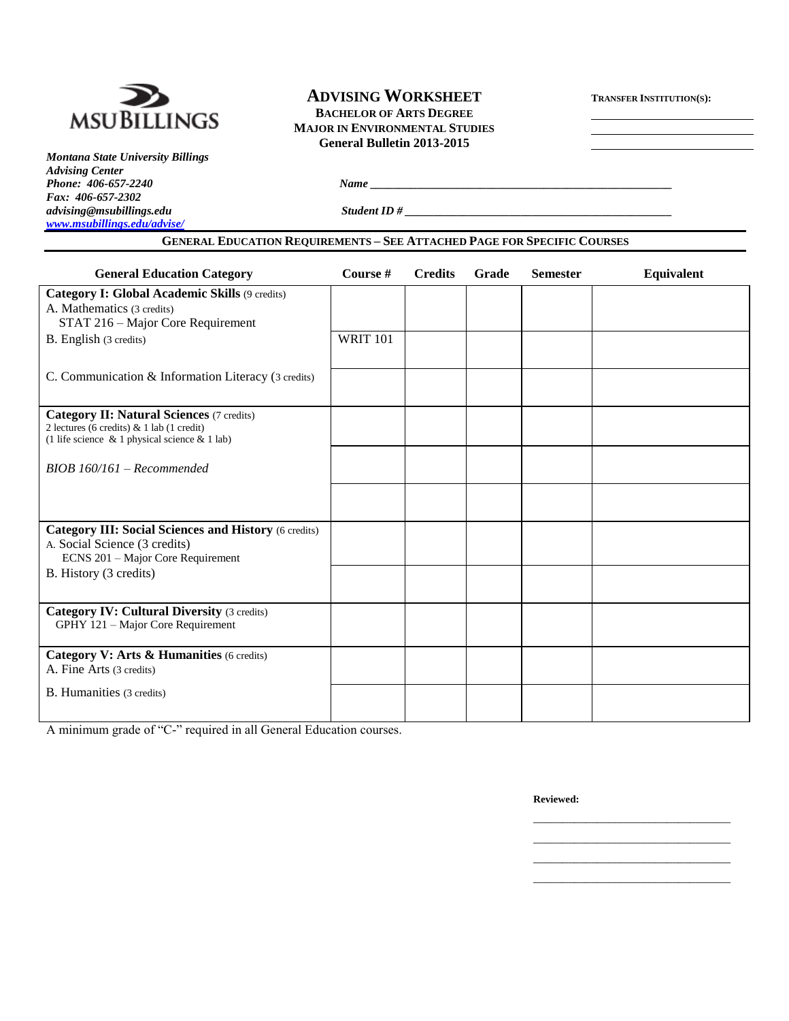

# **ADVISING WORKSHEET <sup>T</sup>RANSFER INSTITUTION(S):**

**BACHELOR OF ARTS DEGREE MAJOR IN ENVIRONMENTAL STUDIES General Bulletin 2013-2015**

*Montana State University Billings Advising Center Fax: 406-657-2302 [www.msubillings.edu/advise/](http://www.msubillings.edu/advise/)*

*Phone: 406-657-2240 Name \_\_\_\_\_\_\_\_\_\_\_\_\_\_\_\_\_\_\_\_\_\_\_\_\_\_\_\_\_\_\_\_\_\_\_\_\_\_\_\_\_\_\_\_\_\_\_\_\_\_\_\_*

*advising@msubillings.edu Student ID # \_\_\_\_\_\_\_\_\_\_\_\_\_\_\_\_\_\_\_\_\_\_\_\_\_\_\_\_\_\_\_\_\_\_\_\_\_\_\_\_\_\_\_\_\_\_*

#### **GENERAL EDUCATION REQUIREMENTS – SEE ATTACHED PAGE FOR SPECIFIC COURSES**

| <b>General Education Category</b>                                                       | Course #        | <b>Credits</b> | Grade | <b>Semester</b> | <b>Equivalent</b> |
|-----------------------------------------------------------------------------------------|-----------------|----------------|-------|-----------------|-------------------|
| <b>Category I: Global Academic Skills (9 credits)</b>                                   |                 |                |       |                 |                   |
| A. Mathematics (3 credits)                                                              |                 |                |       |                 |                   |
| STAT 216 - Major Core Requirement                                                       |                 |                |       |                 |                   |
| B. English (3 credits)                                                                  | <b>WRIT 101</b> |                |       |                 |                   |
|                                                                                         |                 |                |       |                 |                   |
| C. Communication & Information Literacy (3 credits)                                     |                 |                |       |                 |                   |
|                                                                                         |                 |                |       |                 |                   |
| <b>Category II: Natural Sciences (7 credits)</b>                                        |                 |                |       |                 |                   |
| 2 lectures (6 credits) & 1 lab (1 credit)                                               |                 |                |       |                 |                   |
| (1 life science & 1 physical science & 1 lab)                                           |                 |                |       |                 |                   |
|                                                                                         |                 |                |       |                 |                   |
| $BIOB$ 160/161 – Recommended                                                            |                 |                |       |                 |                   |
|                                                                                         |                 |                |       |                 |                   |
|                                                                                         |                 |                |       |                 |                   |
|                                                                                         |                 |                |       |                 |                   |
| <b>Category III: Social Sciences and History (6 credits)</b>                            |                 |                |       |                 |                   |
| A. Social Science (3 credits)<br>ECNS 201 - Major Core Requirement                      |                 |                |       |                 |                   |
| B. History (3 credits)                                                                  |                 |                |       |                 |                   |
|                                                                                         |                 |                |       |                 |                   |
|                                                                                         |                 |                |       |                 |                   |
| <b>Category IV: Cultural Diversity (3 credits)</b><br>GPHY 121 - Major Core Requirement |                 |                |       |                 |                   |
|                                                                                         |                 |                |       |                 |                   |
| Category V: Arts & Humanities (6 credits)                                               |                 |                |       |                 |                   |
| A. Fine Arts (3 credits)                                                                |                 |                |       |                 |                   |
| B. Humanities (3 credits)                                                               |                 |                |       |                 |                   |
|                                                                                         |                 |                |       |                 |                   |
|                                                                                         |                 |                |       |                 |                   |

A minimum grade of "C-" required in all General Education courses.

**Reviewed:**

\_\_\_\_\_\_\_\_\_\_\_\_\_\_\_\_\_\_\_\_\_\_\_\_\_\_\_\_\_\_\_\_\_\_ \_\_\_\_\_\_\_\_\_\_\_\_\_\_\_\_\_\_\_\_\_\_\_\_\_\_\_\_\_\_\_\_\_\_ \_\_\_\_\_\_\_\_\_\_\_\_\_\_\_\_\_\_\_\_\_\_\_\_\_\_\_\_\_\_\_\_\_\_ \_\_\_\_\_\_\_\_\_\_\_\_\_\_\_\_\_\_\_\_\_\_\_\_\_\_\_\_\_\_\_\_\_\_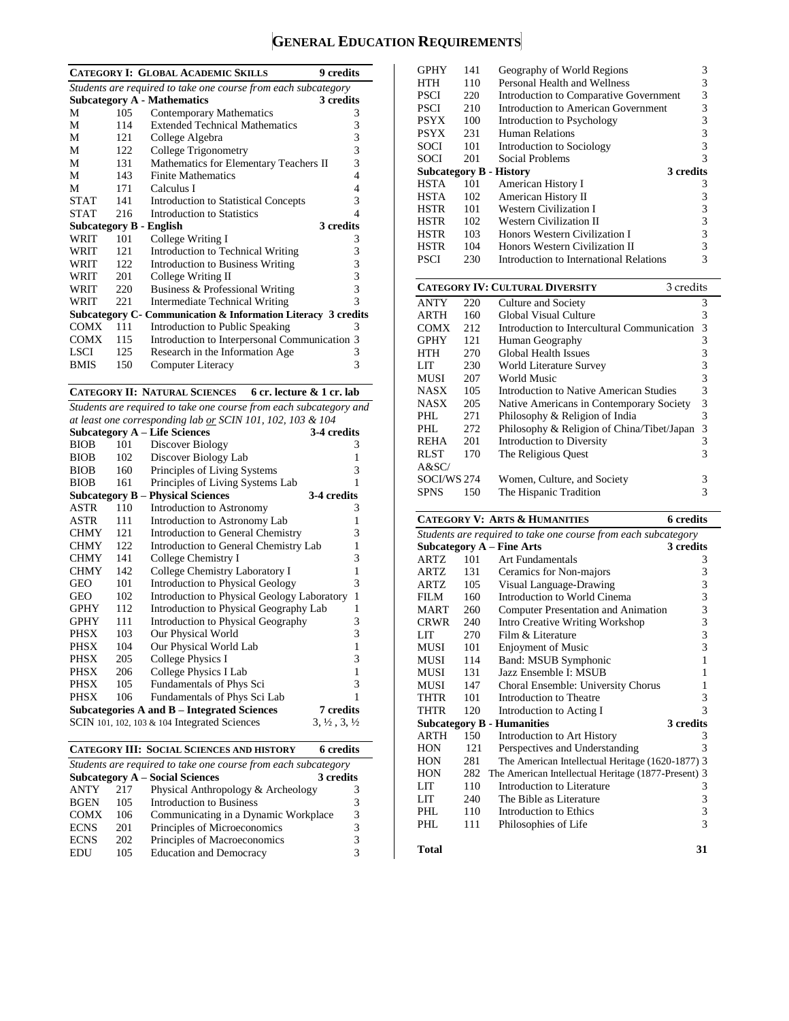### **GENERAL EDUCATION REQUIREMENTS**

|                                                                |      | <b>CATEGORY I: GLOBAL ACADEMIC SKILLS</b>                     | 9 credits    |  |  |
|----------------------------------------------------------------|------|---------------------------------------------------------------|--------------|--|--|
| Students are required to take one course from each subcategory |      |                                                               |              |  |  |
|                                                                |      | <b>Subcategory A - Mathematics</b>                            | 3 credits    |  |  |
| М                                                              | 105  | <b>Contemporary Mathematics</b>                               | 3            |  |  |
| М                                                              | 114  | <b>Extended Technical Mathematics</b>                         | 3            |  |  |
| M                                                              | 121  | College Algebra                                               | 3            |  |  |
| М                                                              | 122. | College Trigonometry                                          | 3            |  |  |
| М                                                              | 131  | Mathematics for Elementary Teachers II                        | 3            |  |  |
| М                                                              | 143  | <b>Finite Mathematics</b>                                     | 4            |  |  |
| М                                                              | 171  | Calculus I                                                    | 4            |  |  |
| <b>STAT</b>                                                    | 141  | <b>Introduction to Statistical Concepts</b>                   | 3            |  |  |
| <b>STAT</b>                                                    | 216  | Introduction to Statistics                                    | 4            |  |  |
| <b>Subcategory B - English</b>                                 |      |                                                               | 3 credits    |  |  |
| WRIT                                                           | 101  | College Writing I                                             | 3            |  |  |
| WRIT                                                           | 121  | Introduction to Technical Writing                             | 3            |  |  |
| WRIT                                                           | 122. | Introduction to Business Writing                              | 3            |  |  |
| WRIT                                                           | 201  | College Writing II                                            | 3            |  |  |
| WRIT                                                           | 220  | Business & Professional Writing                               | 3            |  |  |
| WRIT                                                           | 22.1 | Intermediate Technical Writing                                | $\mathbf{3}$ |  |  |
|                                                                |      | Subcategory C- Communication & Information Literacy 3 credits |              |  |  |
| COMX                                                           | 111  | Introduction to Public Speaking                               | 3            |  |  |
| <b>COMX</b>                                                    | 115  | Introduction to Interpersonal Communication 3                 |              |  |  |
| LSCI                                                           | 125  | Research in the Information Age                               | 3            |  |  |
| <b>BMIS</b>                                                    | 150  | Computer Literacy                                             | 3            |  |  |

**CATEGORY II: NATURAL SCIENCES 6 cr. lecture & 1 cr. lab**

*Students are required to take one course from each subcategory and* 

| at least one corresponding lab or SCIN 101, 102, 103 & 104 |     |                                                 |                                  |  |
|------------------------------------------------------------|-----|-------------------------------------------------|----------------------------------|--|
|                                                            |     | <b>Subcategory A – Life Sciences</b>            | 3-4 credits                      |  |
| <b>BIOB</b>                                                | 101 | Discover Biology                                | 3                                |  |
| <b>BIOB</b>                                                | 102 | Discover Biology Lab                            | 1                                |  |
| <b>BIOB</b>                                                | 160 | Principles of Living Systems                    | 3                                |  |
| <b>BIOB</b>                                                | 161 | Principles of Living Systems Lab                | 1                                |  |
|                                                            |     | <b>Subcategory B – Physical Sciences</b>        | 3-4 credits                      |  |
| ASTR                                                       | 110 | Introduction to Astronomy                       | 3                                |  |
| ASTR                                                       | 111 | Introduction to Astronomy Lab                   | 1                                |  |
| <b>CHMY</b>                                                | 121 | Introduction to General Chemistry               | 3                                |  |
| <b>CHMY</b>                                                | 122 | Introduction to General Chemistry Lab           | 1                                |  |
| <b>CHMY</b>                                                | 141 | College Chemistry I                             | 3                                |  |
| <b>CHMY</b>                                                | 142 | College Chemistry Laboratory I                  | $\mathbf{1}$                     |  |
| <b>GEO</b>                                                 | 101 | <b>Introduction to Physical Geology</b>         | 3                                |  |
| GEO                                                        | 102 | Introduction to Physical Geology Laboratory     | $\mathbf{1}$                     |  |
| <b>GPHY</b>                                                | 112 | Introduction to Physical Geography Lab          | 1                                |  |
| <b>GPHY</b>                                                | 111 | Introduction to Physical Geography              | 3                                |  |
| <b>PHSX</b>                                                | 103 | Our Physical World                              | 3                                |  |
| PHSX                                                       | 104 | Our Physical World Lab                          | $\mathbf{1}$                     |  |
| PHSX                                                       | 205 | College Physics I                               | 3                                |  |
| PHSX                                                       | 206 | College Physics I Lab                           | $\mathbf{1}$                     |  |
| PHSX                                                       | 105 | Fundamentals of Phys Sci                        | 3                                |  |
| <b>PHSX</b>                                                | 106 | Fundamentals of Phys Sci Lab                    | 1                                |  |
|                                                            |     | Subcategories A and B – Integrated Sciences     | 7 credits                        |  |
|                                                            |     | SCIN 101, 102, 103 $\&$ 104 Integrated Sciences | $3, \frac{1}{2}, 3, \frac{1}{2}$ |  |

|  | <b>CATEGORY III: SOCIAL SCIENCES AND HISTORY</b> | 6 credits |
|--|--------------------------------------------------|-----------|
|--|--------------------------------------------------|-----------|

| Students are required to take one course from each subcategory |     |                                      |   |  |  |  |
|----------------------------------------------------------------|-----|--------------------------------------|---|--|--|--|
| <b>Subcategory A – Social Sciences</b><br>3 credits            |     |                                      |   |  |  |  |
| <b>ANTY</b>                                                    | 217 | Physical Anthropology & Archeology   |   |  |  |  |
| <b>BGEN</b>                                                    | 105 | <b>Introduction to Business</b>      | 3 |  |  |  |
| <b>COMX</b>                                                    | 106 | Communicating in a Dynamic Workplace | 3 |  |  |  |
| <b>ECNS</b>                                                    | 201 | Principles of Microeconomics         | 3 |  |  |  |
| <b>ECNS</b>                                                    | 202 | Principles of Macroeconomics         | 3 |  |  |  |
| EDU                                                            | 105 | <b>Education and Democracy</b>       |   |  |  |  |

| <b>GPHY</b> | 141 | Geography of World Regions                          | 3                                                    |
|-------------|-----|-----------------------------------------------------|------------------------------------------------------|
| HTH         | 110 | Personal Health and Wellness                        | $33333$<br>$333$                                     |
| <b>PSCI</b> | 220 | Introduction to Comparative Government              |                                                      |
| <b>PSCI</b> | 210 | <b>Introduction to American Government</b>          |                                                      |
| <b>PSYX</b> | 100 | Introduction to Psychology                          |                                                      |
| <b>PSYX</b> | 231 | <b>Human Relations</b>                              |                                                      |
| SOCI        | 101 | Introduction to Sociology                           |                                                      |
| <b>SOCI</b> | 201 | Social Problems                                     | $\overline{3}$                                       |
|             |     | 3 credits<br><b>Subcategory B - History</b>         |                                                      |
| <b>HSTA</b> | 101 | American History I                                  | 3                                                    |
| <b>HSTA</b> | 102 | American History II                                 |                                                      |
| <b>HSTR</b> | 101 | <b>Western Civilization I</b>                       | $\begin{array}{c} 3 \\ 3 \\ 3 \\ 3 \\ 3 \end{array}$ |
| <b>HSTR</b> | 102 | <b>Western Civilization II</b>                      |                                                      |
| <b>HSTR</b> | 103 | Honors Western Civilization I                       |                                                      |
| <b>HSTR</b> | 104 | Honors Western Civilization II                      |                                                      |
| <b>PSCI</b> | 230 | Introduction to International Relations             |                                                      |
|             |     |                                                     |                                                      |
|             |     |                                                     |                                                      |
|             |     | 3 credits<br><b>CATEGORY IV: CULTURAL DIVERSITY</b> |                                                      |
| <b>ANTY</b> | 220 | Culture and Society                                 | 3                                                    |
| ARTH        | 160 | Global Visual Culture                               | 3                                                    |
| <b>COMX</b> | 212 | Introduction to Intercultural Communication         | $\overline{3}$                                       |
| <b>GPHY</b> | 121 | Human Geography                                     |                                                      |
| HTH         | 270 | <b>Global Health Issues</b>                         |                                                      |
| LIT         | 230 | World Literature Survey                             |                                                      |
| MUSI        | 207 | World Music                                         |                                                      |
| <b>NASX</b> | 105 | Introduction to Native American Studies             |                                                      |
| <b>NASX</b> | 205 | Native Americans in Contemporary Society            |                                                      |
| PHL         | 271 | Philosophy & Religion of India                      |                                                      |
| PHL         | 272 | Philosophy & Religion of China/Tibet/Japan          | 3333333                                              |
| <b>REHA</b> | 201 | <b>Introduction to Diversity</b>                    | $\overline{3}$                                       |
| <b>RLST</b> | 170 | The Religious Quest                                 | $\overline{3}$                                       |
| A&SC/       |     |                                                     |                                                      |
| SOCI/WS 274 |     | Women, Culture, and Society                         | 3                                                    |
| <b>SPNS</b> | 150 | The Hispanic Tradition                              | 3                                                    |

#### **CATEGORY V: ARTS & HUMANITIES 6 credits** *Students are required to take one course from each subcategory* **Subcategory A – Fine Arts 3 credits 3 credits 101** Art Fundamentals **3** Art Fundamentals 3 ARTZ 131 Ceramics for Non-majors 3 ARTZ 105 Visual Language-Drawing 3<br>FILM 160 Introduction to World Cinema 3 FILM 160 Introduction to World Cinema 3<br>MART 260 Computer Presentation and Animation 3 Computer Presentation and Animation CRWR 240 Intro Creative Writing Workshop 3 LIT 270 Film & Literature 3 MUSI 101 Enjoyment of Music 3 MUSI 114 Band: MSUB Symphonic 1 MUSI 131 Jazz Ensemble I: MSUB 1 MUSI 147 Choral Ensemble: University Chorus 1 THTR 101 Introduction to Theatre 3 THTR 120 Introduction to Acting I 3 **Subcategory B - Humanities** 3 credits<br>ARTH 150 Introduction to Art History 3 Introduction to Art History HON 121 Perspectives and Understanding 3 HON 281 The American Intellectual Heritage (1620-1877) 3<br>HON 282 The American Intellectual Heritage (1877-Present) 3 HON 282 The American Intellectual Heritage (1877-Present) 3<br>LIT 110 Introduction to Literature 3 110 Introduction to Literature LIT 240 The Bible as Literature 3<br>PHL 110 Introduction to Ethics 3 PHL 110 Introduction to Ethics 3<br>PHL 111 Philosophies of Life 3 111 Philosophies of Life **Total 31**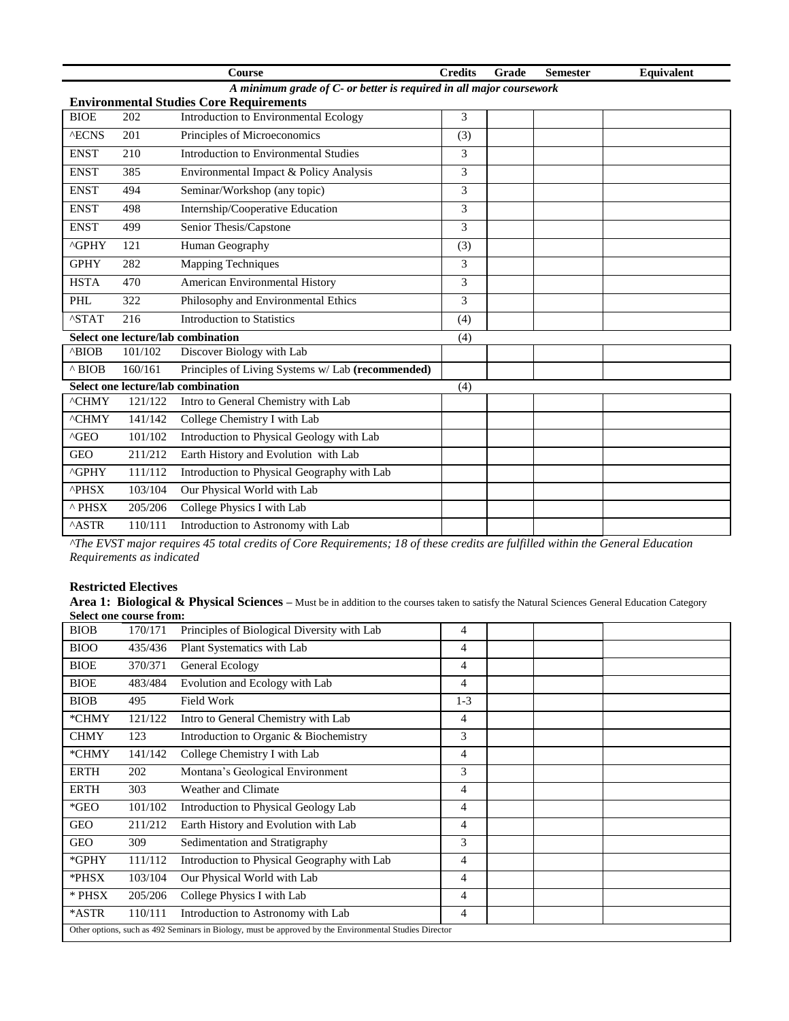|                                                                     |         | <b>Course</b>                                     | <b>Credits</b> | Grade | <b>Semester</b> | Equivalent |
|---------------------------------------------------------------------|---------|---------------------------------------------------|----------------|-------|-----------------|------------|
| A minimum grade of C- or better is required in all major coursework |         |                                                   |                |       |                 |            |
|                                                                     |         | <b>Environmental Studies Core Requirements</b>    |                |       |                 |            |
| <b>BIOE</b>                                                         | 202     | Introduction to Environmental Ecology             | 3              |       |                 |            |
| <b>AECNS</b>                                                        | 201     | Principles of Microeconomics                      | (3)            |       |                 |            |
| <b>ENST</b>                                                         | 210     | Introduction to Environmental Studies             | 3              |       |                 |            |
| <b>ENST</b>                                                         | 385     | Environmental Impact & Policy Analysis            | 3              |       |                 |            |
| <b>ENST</b>                                                         | 494     | Seminar/Workshop (any topic)                      | 3              |       |                 |            |
| <b>ENST</b>                                                         | 498     | Internship/Cooperative Education                  | 3              |       |                 |            |
| <b>ENST</b>                                                         | 499     | Senior Thesis/Capstone                            | 3              |       |                 |            |
| ^GPHY                                                               | 121     | Human Geography                                   | (3)            |       |                 |            |
| <b>GPHY</b>                                                         | 282     | <b>Mapping Techniques</b>                         | 3              |       |                 |            |
| <b>HSTA</b>                                                         | 470     | <b>American Environmental History</b>             | 3              |       |                 |            |
| PHL                                                                 | 322     | Philosophy and Environmental Ethics               | 3              |       |                 |            |
| <b>ASTAT</b>                                                        | 216     | <b>Introduction to Statistics</b>                 | (4)            |       |                 |            |
|                                                                     |         | Select one lecture/lab combination                | (4)            |       |                 |            |
| ^BIOB                                                               | 101/102 | Discover Biology with Lab                         |                |       |                 |            |
| $^{\wedge}$ BIOB                                                    | 160/161 | Principles of Living Systems w/ Lab (recommended) |                |       |                 |            |
|                                                                     |         | Select one lecture/lab combination                | (4)            |       |                 |            |
| <b>^CHMY</b>                                                        | 121/122 | Intro to General Chemistry with Lab               |                |       |                 |            |
| <b>^CHMY</b>                                                        | 141/142 | College Chemistry I with Lab                      |                |       |                 |            |
| $^{\wedge}$ GEO                                                     | 101/102 | Introduction to Physical Geology with Lab         |                |       |                 |            |
| <b>GEO</b>                                                          | 211/212 | Earth History and Evolution with Lab              |                |       |                 |            |
| <b>^GPHY</b>                                                        | 111/112 | Introduction to Physical Geography with Lab       |                |       |                 |            |
| <b>^PHSX</b>                                                        | 103/104 | Our Physical World with Lab                       |                |       |                 |            |
| $^{\wedge}$ PHSX                                                    | 205/206 | College Physics I with Lab                        |                |       |                 |            |
| <b>ASTR</b>                                                         | 110/111 | Introduction to Astronomy with Lab                |                |       |                 |            |

*^The EVST major requires 45 total credits of Core Requirements; 18 of these credits are fulfilled within the General Education Requirements as indicated*

#### **Restricted Electives**

Area 1: Biological & Physical Sciences – Must be in addition to the courses taken to satisfy the Natural Sciences General Education Category **Select one course from:**

| <b>BIOB</b>                                                                                            | 170/171 | Principles of Biological Diversity with Lab | 4     |  |  |  |
|--------------------------------------------------------------------------------------------------------|---------|---------------------------------------------|-------|--|--|--|
| <b>BIOO</b>                                                                                            | 435/436 | Plant Systematics with Lab                  | 4     |  |  |  |
| <b>BIOE</b>                                                                                            | 370/371 | General Ecology                             | 4     |  |  |  |
| <b>BIOE</b>                                                                                            | 483/484 | Evolution and Ecology with Lab              | 4     |  |  |  |
| <b>BIOB</b>                                                                                            | 495     | <b>Field Work</b>                           | $1-3$ |  |  |  |
| *CHMY                                                                                                  | 121/122 | Intro to General Chemistry with Lab         | 4     |  |  |  |
| <b>CHMY</b>                                                                                            | 123     | Introduction to Organic & Biochemistry      | 3     |  |  |  |
| *CHMY                                                                                                  | 141/142 | College Chemistry I with Lab                | 4     |  |  |  |
| <b>ERTH</b>                                                                                            | 202     | Montana's Geological Environment            | 3     |  |  |  |
| <b>ERTH</b>                                                                                            | 303     | Weather and Climate                         | 4     |  |  |  |
| $*GEO$                                                                                                 | 101/102 | Introduction to Physical Geology Lab        | 4     |  |  |  |
| <b>GEO</b>                                                                                             | 211/212 | Earth History and Evolution with Lab        | 4     |  |  |  |
| <b>GEO</b>                                                                                             | 309     | Sedimentation and Stratigraphy              | 3     |  |  |  |
| *GPHY                                                                                                  | 111/112 | Introduction to Physical Geography with Lab | 4     |  |  |  |
| *PHSX                                                                                                  | 103/104 | Our Physical World with Lab                 | 4     |  |  |  |
| * PHSX                                                                                                 | 205/206 | College Physics I with Lab                  | 4     |  |  |  |
| *ASTR                                                                                                  | 110/111 | Introduction to Astronomy with Lab          | 4     |  |  |  |
| Other options, such as 492 Seminars in Biology, must be approved by the Environmental Studies Director |         |                                             |       |  |  |  |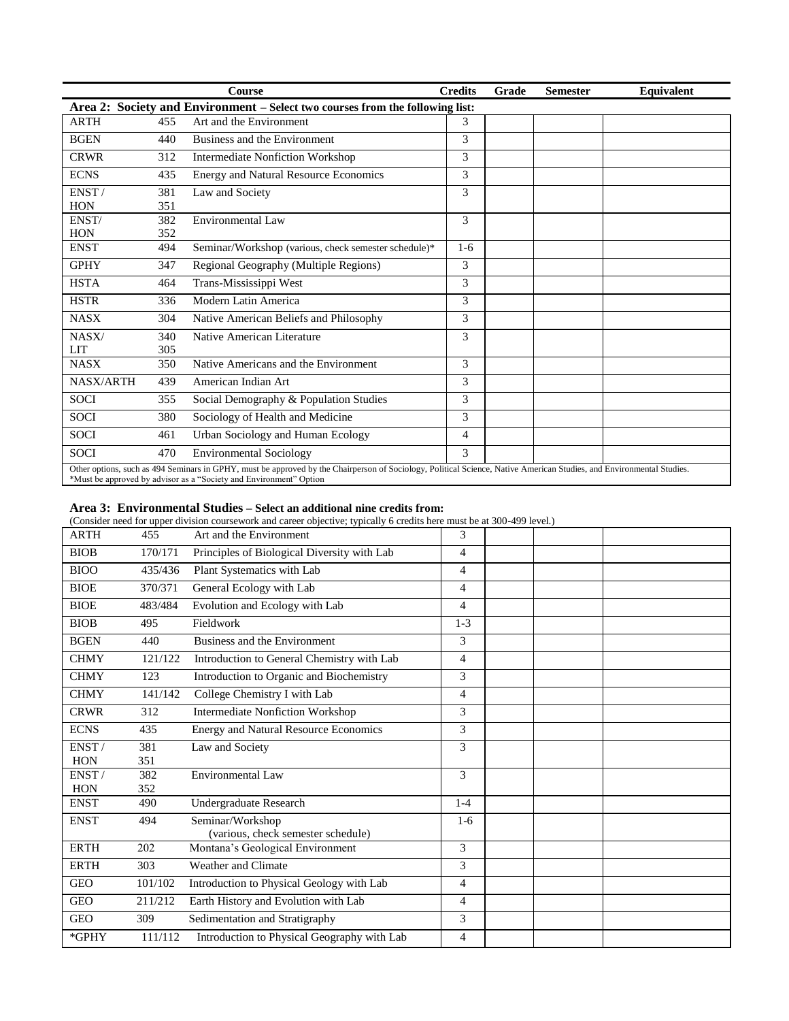|                  |     | <b>Course</b>                                                                                                                                                                                                                               | <b>Credits</b> | Grade | <b>Semester</b> | Equivalent |
|------------------|-----|---------------------------------------------------------------------------------------------------------------------------------------------------------------------------------------------------------------------------------------------|----------------|-------|-----------------|------------|
|                  |     | Area 2: Society and Environment - Select two courses from the following list:                                                                                                                                                               |                |       |                 |            |
| <b>ARTH</b>      | 455 | Art and the Environment                                                                                                                                                                                                                     | 3              |       |                 |            |
| <b>BGEN</b>      | 440 | Business and the Environment                                                                                                                                                                                                                | 3              |       |                 |            |
| <b>CRWR</b>      | 312 | <b>Intermediate Nonfiction Workshop</b>                                                                                                                                                                                                     | 3              |       |                 |            |
| <b>ECNS</b>      | 435 | <b>Energy and Natural Resource Economics</b>                                                                                                                                                                                                | 3              |       |                 |            |
| ENST/            | 381 | Law and Society                                                                                                                                                                                                                             | 3              |       |                 |            |
| <b>HON</b>       | 351 |                                                                                                                                                                                                                                             |                |       |                 |            |
| ENST/            | 382 | <b>Environmental Law</b>                                                                                                                                                                                                                    | 3              |       |                 |            |
| <b>HON</b>       | 352 |                                                                                                                                                                                                                                             |                |       |                 |            |
| <b>ENST</b>      | 494 | Seminar/Workshop (various, check semester schedule)*                                                                                                                                                                                        | $1-6$          |       |                 |            |
| <b>GPHY</b>      | 347 | Regional Geography (Multiple Regions)                                                                                                                                                                                                       | 3              |       |                 |            |
| <b>HSTA</b>      | 464 | Trans-Mississippi West                                                                                                                                                                                                                      | 3              |       |                 |            |
| <b>HSTR</b>      | 336 | Modern Latin America                                                                                                                                                                                                                        | 3              |       |                 |            |
| <b>NASX</b>      | 304 | Native American Beliefs and Philosophy                                                                                                                                                                                                      | 3              |       |                 |            |
| NASX/            | 340 | Native American Literature                                                                                                                                                                                                                  | 3              |       |                 |            |
| <b>LIT</b>       | 305 |                                                                                                                                                                                                                                             |                |       |                 |            |
| <b>NASX</b>      | 350 | Native Americans and the Environment                                                                                                                                                                                                        | 3              |       |                 |            |
| <b>NASX/ARTH</b> | 439 | American Indian Art                                                                                                                                                                                                                         | 3              |       |                 |            |
| <b>SOCI</b>      | 355 | Social Demography & Population Studies                                                                                                                                                                                                      | 3              |       |                 |            |
| <b>SOCI</b>      | 380 | Sociology of Health and Medicine                                                                                                                                                                                                            | 3              |       |                 |            |
| <b>SOCI</b>      | 461 | Urban Sociology and Human Ecology                                                                                                                                                                                                           | 4              |       |                 |            |
| <b>SOCI</b>      | 470 | <b>Environmental Sociology</b>                                                                                                                                                                                                              | 3              |       |                 |            |
|                  |     | Other options, such as 494 Seminars in GPHY, must be approved by the Chairperson of Sociology, Political Science, Native American Studies, and Environmental Studies.<br>*Must be approved by advisor as a "Society and Environment" Option |                |       |                 |            |

#### **Area 3: Environmental Studies – Select an additional nine credits from:**

(Consider need for upper division coursework and career objective; typically 6 credits here must be at 300-499 level.)

| <b>ARTH</b> | 455     | Art and the Environment                      | 3              |  |
|-------------|---------|----------------------------------------------|----------------|--|
| <b>BIOB</b> | 170/171 | Principles of Biological Diversity with Lab  | 4              |  |
| <b>BIOO</b> | 435/436 | Plant Systematics with Lab                   | $\overline{4}$ |  |
| <b>BIOE</b> | 370/371 | General Ecology with Lab                     | 4              |  |
| <b>BIOE</b> | 483/484 | Evolution and Ecology with Lab               | $\overline{4}$ |  |
| <b>BIOB</b> | 495     | Fieldwork                                    | $1 - 3$        |  |
| <b>BGEN</b> | 440     | Business and the Environment                 | 3              |  |
| <b>CHMY</b> | 121/122 | Introduction to General Chemistry with Lab   | $\overline{4}$ |  |
| <b>CHMY</b> | 123     | Introduction to Organic and Biochemistry     | 3              |  |
| <b>CHMY</b> | 141/142 | College Chemistry I with Lab                 | $\overline{4}$ |  |
| <b>CRWR</b> | 312     | Intermediate Nonfiction Workshop             | 3              |  |
| <b>ECNS</b> | 435     | <b>Energy and Natural Resource Economics</b> | 3              |  |
| ENST/       | 381     | Law and Society                              | 3              |  |
| <b>HON</b>  | 351     |                                              |                |  |
| ENST/       | 382     | Environmental Law                            | 3              |  |
| <b>HON</b>  | 352     |                                              |                |  |
| <b>ENST</b> | 490     | Undergraduate Research                       | $1-4$          |  |
| <b>ENST</b> | 494     | Seminar/Workshop                             | $1-6$          |  |
|             |         | (various, check semester schedule)           |                |  |
| <b>ERTH</b> | 202     | Montana's Geological Environment             | 3              |  |
| <b>ERTH</b> | 303     | Weather and Climate                          | 3              |  |
| <b>GEO</b>  | 101/102 | Introduction to Physical Geology with Lab    | 4              |  |
| <b>GEO</b>  | 211/212 | Earth History and Evolution with Lab         | $\overline{4}$ |  |
| <b>GEO</b>  | 309     | Sedimentation and Stratigraphy               | 3              |  |
| $*$ GPHY    | 111/112 | Introduction to Physical Geography with Lab  | $\overline{4}$ |  |